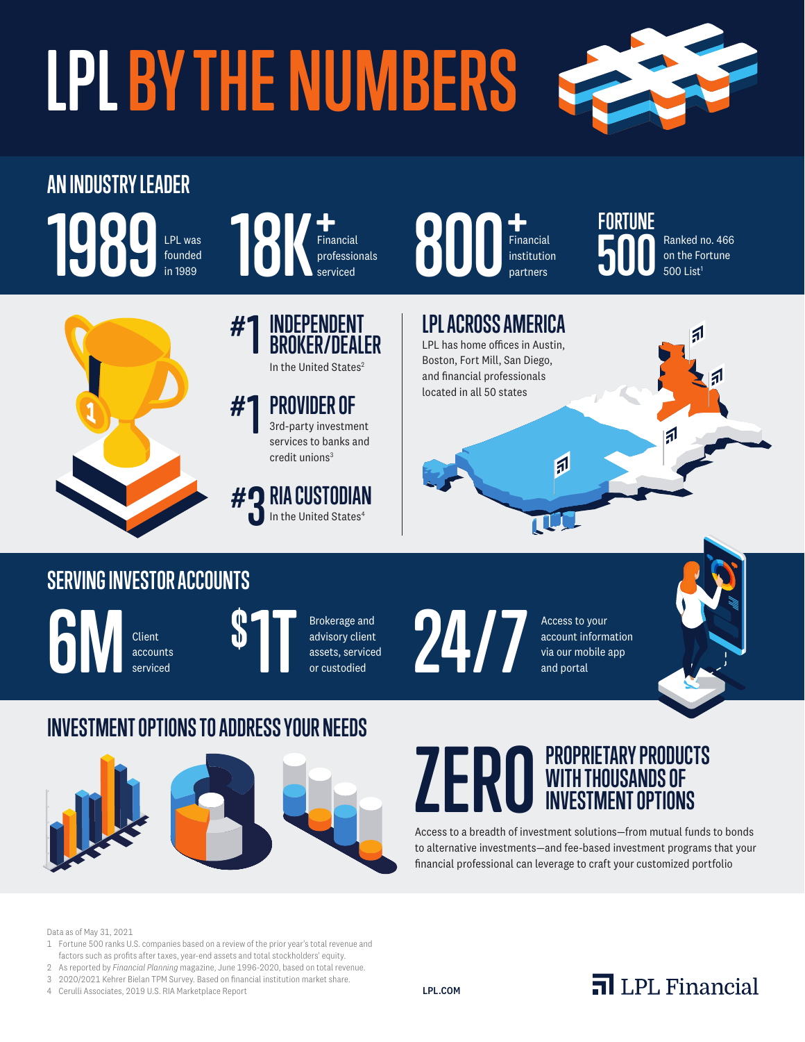# **LPL BY THE NUMBERS**



#### **AN INDUSTRY LEADER 1989 1PL was 18K Financial 800 Financial 500** LPL was founded in 1989



#### Financial professionals serviced

**#1 INDEPENDENT BROKER/DEALER** In the United States<sup>2</sup>

#### **#1 PROVIDER OF** 3rd-party investment services to banks and

credit unions<sup>3</sup>

**# 3 RIA CUSTODIAN** In the United States<sup>4</sup>



Financial institution  **500** Ranked no. 466 on the Fortune  $500$  List<sup>1</sup>

## **LPL ACROSS AMERICA** LPL has home offices in Austin, Boston, Fort Mill, San Diego, and financial professionals located in all 50 states 同

### **SERVING INVESTOR ACCOUNTS**

Client



Brokerage and advisory client assets, serviced or custodied



account information via our mobile app and portal



#### **INVESTMENT OPTIONS TO ADDRESS YOUR NEEDS**



#### **PROPRIETARY PRODUCTS WITH THOUSANDS OF INVESTMENT OPTIONS ZER0**

Access to a breadth of investment solutions—from mutual funds to bonds to alternative investments—and fee-based investment programs that your financial professional can leverage to craft your customized portfolio

Data as of May 31, 2021

- 1 Fortune 500 ranks U.S. companies based on a review of the prior year's total revenue and factors such as profits after taxes, year-end assets and total stockholders' equity.
- 2 As reported by *Financial Planning* magazine, June 1996-2020, based on total revenue.
- 3 2020/2021 Kehrer Bielan TPM Survey. Based on financial institution market share.

4 Cerulli Associates, 2019 U.S. RIA Marketplace Report

LPL.COM

## $\overline{\mathbf{a}}$  LPL Financial